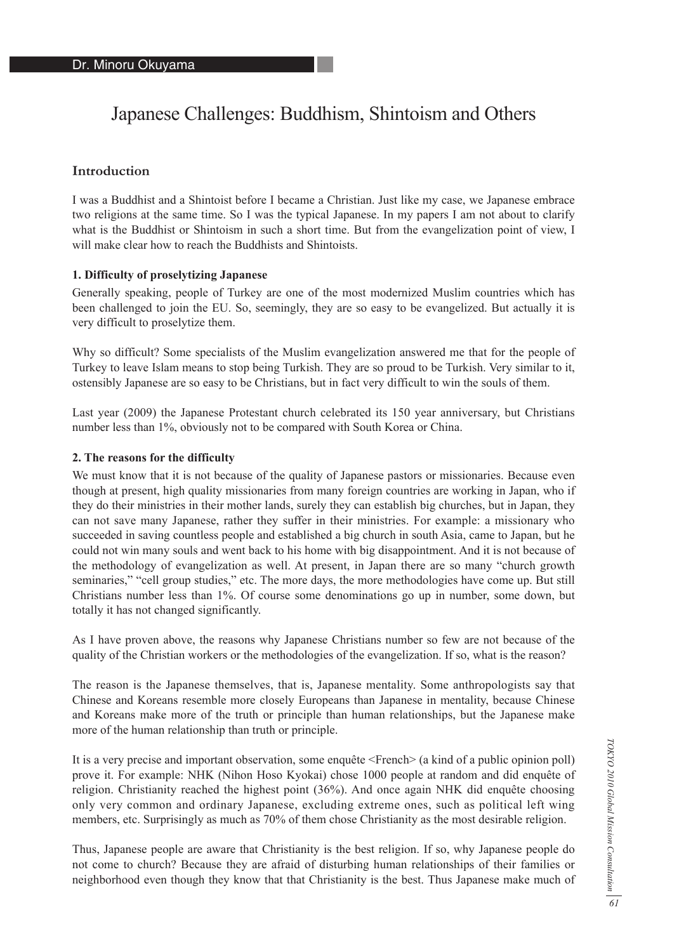# Japanese Challenges: Buddhism, Shintoism and Others

# **Introduction**

I was a Buddhist and a Shintoist before I became a Christian. Just like my case, we Japanese embrace two religions at the same time. So I was the typical Japanese. In my papers I am not about to clarify what is the Buddhist or Shintoism in such a short time. But from the evangelization point of view, I will make clear how to reach the Buddhists and Shintoists.

### **1. Difficulty of proselytizing Japanese**

Generally speaking, people of Turkey are one of the most modernized Muslim countries which has been challenged to join the EU. So, seemingly, they are so easy to be evangelized. But actually it is very difficult to proselytize them.

Why so difficult? Some specialists of the Muslim evangelization answered me that for the people of Turkey to leave Islam means to stop being Turkish. They are so proud to be Turkish. Very similar to it, ostensibly Japanese are so easy to be Christians, but in fact very difficult to win the souls of them.

Last year (2009) the Japanese Protestant church celebrated its 150 year anniversary, but Christians number less than 1%, obviously not to be compared with South Korea or China.

#### **2. The reasons for the difficulty**

We must know that it is not because of the quality of Japanese pastors or missionaries. Because even though at present, high quality missionaries from many foreign countries are working in Japan, who if they do their ministries in their mother lands, surely they can establish big churches, but in Japan, they can not save many Japanese, rather they suffer in their ministries. For example: a missionary who succeeded in saving countless people and established a big church in south Asia, came to Japan, but he could not win many souls and went back to his home with big disappointment. And it is not because of the methodology of evangelization as well. At present, in Japan there are so many "church growth seminaries," "cell group studies," etc. The more days, the more methodologies have come up. But still Christians number less than 1%. Of course some denominations go up in number, some down, but totally it has not changed significantly.

As I have proven above, the reasons why Japanese Christians number so few are not because of the quality of the Christian workers or the methodologies of the evangelization. If so, what is the reason?

The reason is the Japanese themselves, that is, Japanese mentality. Some anthropologists say that Chinese and Koreans resemble more closely Europeans than Japanese in mentality, because Chinese and Koreans make more of the truth or principle than human relationships, but the Japanese make more of the human relationship than truth or principle.

It is a very precise and important observation, some enquête <French> (a kind of a public opinion poll) prove it. For example: NHK (Nihon Hoso Kyokai) chose 1000 people at random and did enquête of religion. Christianity reached the highest point (36%). And once again NHK did enquête choosing only very common and ordinary Japanese, excluding extreme ones, such as political left wing members, etc. Surprisingly as much as 70% of them chose Christianity as the most desirable religion.

Thus, Japanese people are aware that Christianity is the best religion. If so, why Japanese people do not come to church? Because they are afraid of disturbing human relationships of their families or neighborhood even though they know that that Christianity is the best. Thus Japanese make much of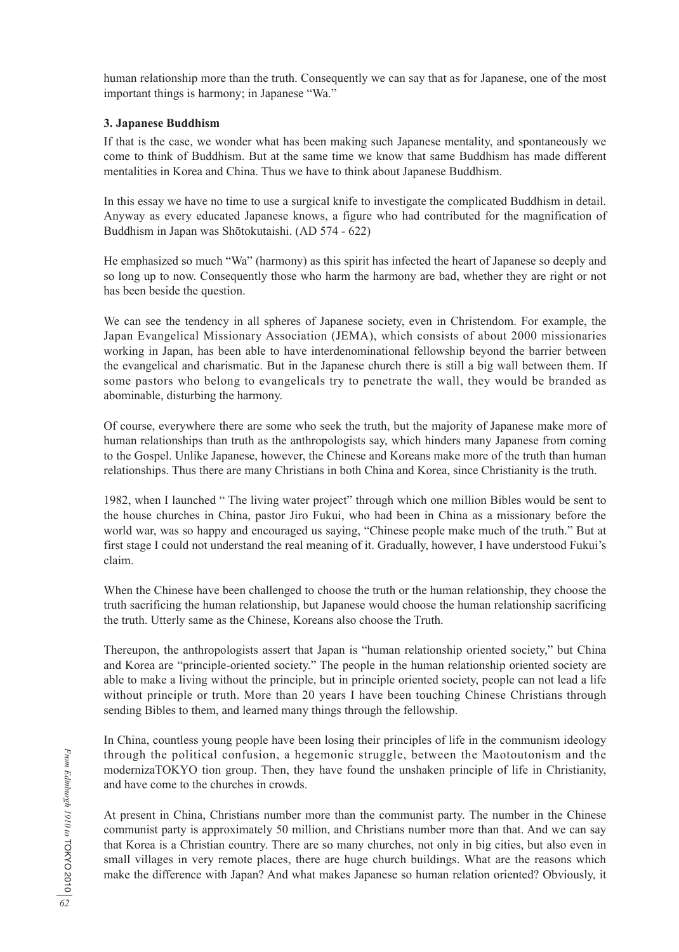human relationship more than the truth. Consequently we can say that as for Japanese, one of the most important things is harmony; in Japanese "Wa."

# **3. Japanese Buddhism**

If that is the case, we wonder what has been making such Japanese mentality, and spontaneously we come to think of Buddhism. But at the same time we know that same Buddhism has made different mentalities in Korea and China. Thus we have to think about Japanese Buddhism.

In this essay we have no time to use a surgical knife to investigate the complicated Buddhism in detail. Anyway as every educated Japanese knows, a figure who had contributed for the magnification of Buddhism in Japan was Shōtokutaishi. (AD 574 - 622)

He emphasized so much "Wa" (harmony) as this spirit has infected the heart of Japanese so deeply and so long up to now. Consequently those who harm the harmony are bad, whether they are right or not has been beside the question.

We can see the tendency in all spheres of Japanese society, even in Christendom. For example, the Japan Evangelical Missionary Association (JEMA), which consists of about 2000 missionaries working in Japan, has been able to have interdenominational fellowship beyond the barrier between the evangelical and charismatic. But in the Japanese church there is still a big wall between them. If some pastors who belong to evangelicals try to penetrate the wall, they would be branded as abominable, disturbing the harmony.

Of course, everywhere there are some who seek the truth, but the majority of Japanese make more of human relationships than truth as the anthropologists say, which hinders many Japanese from coming to the Gospel. Unlike Japanese, however, the Chinese and Koreans make more of the truth than human relationships. Thus there are many Christians in both China and Korea, since Christianity is the truth.

1982, when I launched " The living water project" through which one million Bibles would be sent to the house churches in China, pastor Jiro Fukui, who had been in China as a missionary before the world war, was so happy and encouraged us saying, "Chinese people make much of the truth." But at first stage I could not understand the real meaning of it. Gradually, however, I have understood Fukui's claim.

When the Chinese have been challenged to choose the truth or the human relationship, they choose the truth sacrificing the human relationship, but Japanese would choose the human relationship sacrificing the truth. Utterly same as the Chinese, Koreans also choose the Truth.

Thereupon, the anthropologists assert that Japan is "human relationship oriented society," but China and Korea are "principle-oriented society." The people in the human relationship oriented society are able to make a living without the principle, but in principle oriented society, people can not lead a life without principle or truth. More than 20 years I have been touching Chinese Christians through sending Bibles to them, and learned many things through the fellowship.

In China, countless young people have been losing their principles of life in the communism ideology through the political confusion, a hegemonic struggle, between the Maotoutonism and the modernizaTOKYO tion group. Then, they have found the unshaken principle of life in Christianity, and have come to the churches in crowds.

At present in China, Christians number more than the communist party. The number in the Chinese communist party is approximately 50 million, and Christians number more than that. And we can say that Korea is a Christian country. There are so many churches, not only in big cities, but also even in small villages in very remote places, there are huge church buildings. What are the reasons which make the difference with Japan? And what makes Japanese so human relation oriented? Obviously, it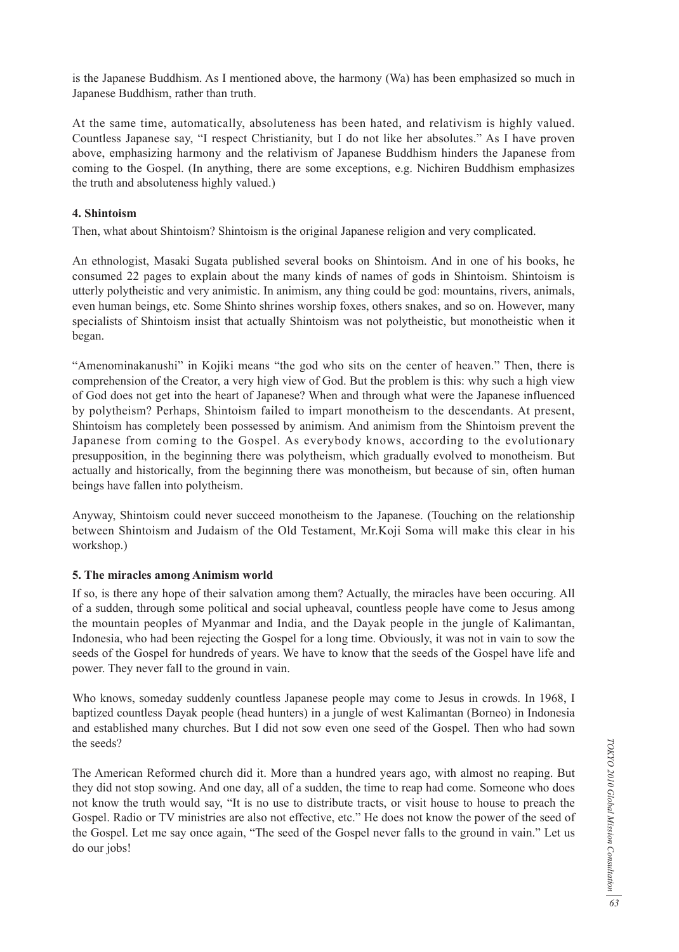is the Japanese Buddhism. As I mentioned above, the harmony (Wa) has been emphasized so much in Japanese Buddhism, rather than truth.

At the same time, automatically, absoluteness has been hated, and relativism is highly valued. Countless Japanese say, "I respect Christianity, but I do not like her absolutes." As I have proven above, emphasizing harmony and the relativism of Japanese Buddhism hinders the Japanese from coming to the Gospel. (In anything, there are some exceptions, e.g. Nichiren Buddhism emphasizes the truth and absoluteness highly valued.)

# **4. Shintoism**

Then, what about Shintoism? Shintoism is the original Japanese religion and very complicated.

An ethnologist, Masaki Sugata published several books on Shintoism. And in one of his books, he consumed 22 pages to explain about the many kinds of names of gods in Shintoism. Shintoism is utterly polytheistic and very animistic. In animism, any thing could be god: mountains, rivers, animals, even human beings, etc. Some Shinto shrines worship foxes, others snakes, and so on. However, many specialists of Shintoism insist that actually Shintoism was not polytheistic, but monotheistic when it began.

"Amenominakanushi" in Kojiki means "the god who sits on the center of heaven." Then, there is comprehension of the Creator, a very high view of God. But the problem is this: why such a high view of God does not get into the heart of Japanese? When and through what were the Japanese influenced by polytheism? Perhaps, Shintoism failed to impart monotheism to the descendants. At present, Shintoism has completely been possessed by animism. And animism from the Shintoism prevent the Japanese from coming to the Gospel. As everybody knows, according to the evolutionary presupposition, in the beginning there was polytheism, which gradually evolved to monotheism. But actually and historically, from the beginning there was monotheism, but because of sin, often human beings have fallen into polytheism.

Anyway, Shintoism could never succeed monotheism to the Japanese. (Touching on the relationship between Shintoism and Judaism of the Old Testament, Mr.Koji Soma will make this clear in his workshop.)

### **5. The miracles among Animism world**

If so, is there any hope of their salvation among them? Actually, the miracles have been occuring. All of a sudden, through some political and social upheaval, countless people have come to Jesus among the mountain peoples of Myanmar and India, and the Dayak people in the jungle of Kalimantan, Indonesia, who had been rejecting the Gospel for a long time. Obviously, it was not in vain to sow the seeds of the Gospel for hundreds of years. We have to know that the seeds of the Gospel have life and power. They never fall to the ground in vain.

Who knows, someday suddenly countless Japanese people may come to Jesus in crowds. In 1968, I baptized countless Dayak people (head hunters) in a jungle of west Kalimantan (Borneo) in Indonesia and established many churches. But I did not sow even one seed of the Gospel. Then who had sown the seeds?

The American Reformed church did it. More than a hundred years ago, with almost no reaping. But they did not stop sowing. And one day, all of a sudden, the time to reap had come. Someone who does not know the truth would say, "It is no use to distribute tracts, or visit house to house to preach the Gospel. Radio or TV ministries are also not effective, etc." He does not know the power of the seed of the Gospel. Let me say once again, "The seed of the Gospel never falls to the ground in vain." Let us do our jobs!